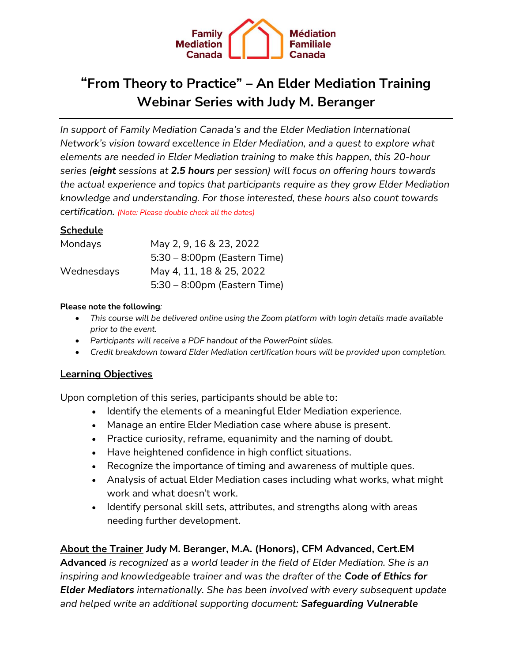

# **"From Theory to Practice" – An Elder Mediation Training Webinar Series with Judy M. Beranger**

*In support of Family Mediation Canada's and the Elder Mediation International Network's vision toward excellence in Elder Mediation, and a quest to explore what elements are needed in Elder Mediation training to make this happen, this 20-hour series (eight sessions at 2.5 hours per session) will focus on offering hours towards the actual experience and topics that participants require as they grow Elder Mediation knowledge and understanding. For those interested, these hours also count towards certification. (Note: Please double check all the dates)*

### **Schedule**

| Mondays    | May 2, 9, 16 & 23, 2022         |  |  |
|------------|---------------------------------|--|--|
|            | $5:30 - 8:00$ pm (Eastern Time) |  |  |
| Wednesdays | May 4, 11, 18 & 25, 2022        |  |  |
|            | $5:30 - 8:00$ pm (Eastern Time) |  |  |

### **Please note the following***:*

- *This course will be delivered online using the Zoom platform with login details made available prior to the event.*
- *Participants will receive a PDF handout of the PowerPoint slides.*
- *Credit breakdown toward Elder Mediation certification hours will be provided upon completion.*

### **Learning Objectives**

Upon completion of this series, participants should be able to:

- Identify the elements of a meaningful Elder Mediation experience.
- Manage an entire Elder Mediation case where abuse is present.
- Practice curiosity, reframe, equanimity and the naming of doubt.
- Have heightened confidence in high conflict situations.
- Recognize the importance of timing and awareness of multiple ques.
- Analysis of actual Elder Mediation cases including what works, what might work and what doesn't work.
- Identify personal skill sets, attributes, and strengths along with areas needing further development.

### **About the Trainer Judy M. Beranger, M.A. (Honors), CFM Advanced, Cert.EM**

**Advanced** *is recognized as a world leader in the field of Elder Mediation. She is an inspiring and knowledgeable trainer and was the drafter of the Code of Ethics for Elder Mediators internationally. She has been involved with every subsequent update and helped write an additional supporting document: Safeguarding Vulnerable*